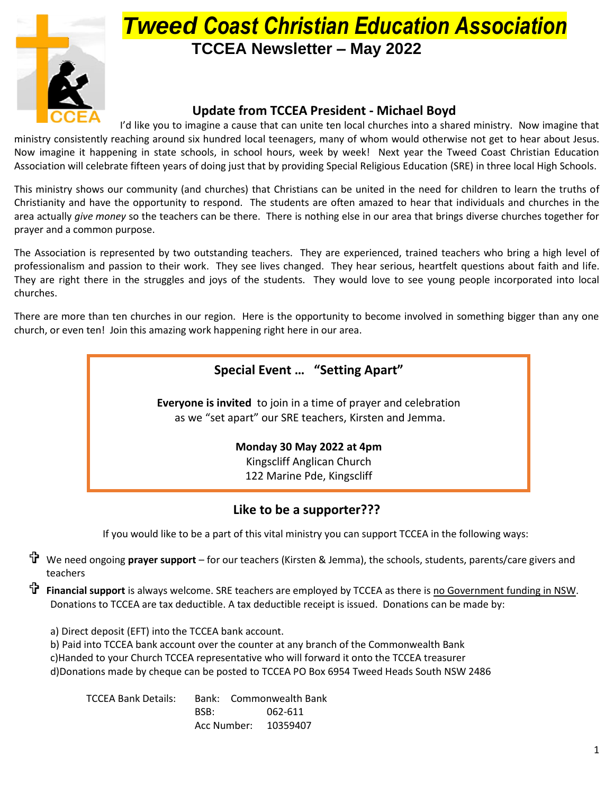

# *Tweed Coast Christian Education Association* **TCCEA Newsletter – May 2022**

#### **Update from TCCEA President - Michael Boyd**

I'd like you to imagine a cause that can unite ten local churches into a shared ministry. Now imagine that ministry consistently reaching around six hundred local teenagers, many of whom would otherwise not get to hear about Jesus. Now imagine it happening in state schools, in school hours, week by week! Next year the Tweed Coast Christian Education Association will celebrate fifteen years of doing just that by providing Special Religious Education (SRE) in three local High Schools.

This ministry shows our community (and churches) that Christians can be united in the need for children to learn the truths of Christianity and have the opportunity to respond. The students are often amazed to hear that individuals and churches in the area actually *give money* so the teachers can be there. There is nothing else in our area that brings diverse churches together for prayer and a common purpose.

The Association is represented by two outstanding teachers. They are experienced, trained teachers who bring a high level of professionalism and passion to their work. They see lives changed. They hear serious, heartfelt questions about faith and life. They are right there in the struggles and joys of the students. They would love to see young people incorporated into local churches.

There are more than ten churches in our region. Here is the opportunity to become involved in something bigger than any one church, or even ten! Join this amazing work happening right here in our area.

#### **Special Event … "Setting Apart"**

**Everyone is invited** to join in a time of prayer and celebration as we "set apart" our SRE teachers, Kirsten and Jemma.

### **Monday 30 May 2022 at 4pm**

Kingscliff Anglican Church 122 Marine Pde, Kingscliff

#### **Like to be a supporter???**

If you would like to be a part of this vital ministry you can support TCCEA in the following ways:

- We need ongoing **prayer support** for our teachers (Kirsten & Jemma), the schools, students, parents/care givers and teachers
- **Financial support** is always welcome. SRE teachers are employed by TCCEA as there is no Government funding in NSW. Donations to TCCEA are tax deductible. A tax deductible receipt is issued. Donations can be made by:
	- a) Direct deposit (EFT) into the TCCEA bank account.
	- b) Paid into TCCEA bank account over the counter at any branch of the Commonwealth Bank
	- c)Handed to your Church TCCEA representative who will forward it onto the TCCEA treasurer
	- d)Donations made by cheque can be posted to TCCEA PO Box 6954 Tweed Heads South NSW 2486

| TCCEA Bank Details: |      | Bank: Commonwealth Bank |
|---------------------|------|-------------------------|
|                     | BSB: | 062-611                 |
|                     |      | Acc Number: 10359407    |